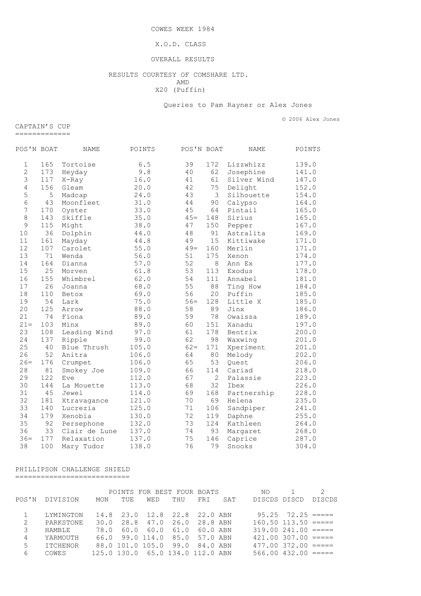COWES WEEK 1984

### X.O.D. CLASS

#### OVERALL RESULTS

## RESULTS COURTESY OF COMSHARE LTD.<br>AMD AMD X20 (Puffin)

Queries to Pam Rayner or Alex Jones

© 2006 Alex Jones

CAPTAIN'S CUP =============

| POS'N BOAT     |     | NAME          | POINTS | POS'N BOAT |                | <b>NAME</b> | POINTS |
|----------------|-----|---------------|--------|------------|----------------|-------------|--------|
| $\mathbf{1}$   | 165 | Tortoise      | 6.5    | 39         | 172            | Lizzwhizz   | 139.0  |
| $\overline{c}$ | 173 | Heyday        | 9.8    | 40         | 62             | Josephine   | 141.0  |
| $\mathfrak{Z}$ | 117 | X-Ray         | 16.0   | 41         | 61             | Silver Wind | 147.0  |
| $\overline{4}$ | 156 | Gleam         | 20.0   | 42         | 75             | Delight     | 152.0  |
| 5              | 5   | Madcap        | 24.0   | 43         | 3              | Silhouette  | 154.0  |
| 6              | 43  | Moonfleet     | 31.0   | 44         | 90             | Calypso     | 164.0  |
| $\overline{7}$ | 170 | Oyster        | 33.0   | 45         | 64             | Pintail     | 165.0  |
| $\,8\,$        | 143 | Skiffle       | 35.0   | $45=$      | 148            | Sirius      | 165.0  |
| $\mathcal{G}$  | 115 | Might         | 38.0   | 47         | 150            | Pepper      | 167.0  |
| 10             | 36  | Dolphin       | 44.0   | 48         | 91             | Astralita   | 169.0  |
| 11             | 161 | Mayday        | 44.8   | 49         | 15             | Kittiwake   | 171.0  |
| 12             | 107 | Carolet       | 55.0   | $49=$      | 160            | Merlin      | 171.0  |
| 13             | 71  | Wenda         | 56.0   | 51         | 175            | Xenon       | 174.0  |
| 14             | 164 | Dianna        | 57.0   | 52         | 8              | Ann Ex      | 177.0  |
| 15             | 25  | Morven        | 61.8   | 53         | 113            | Exodus      | 178.0  |
| 16             | 155 | Whimbrel      | 62.0   | 54         | 111            | Annabel     | 181.0  |
| $17$           | 26  | Joanna        | 68.0   | 55         | 88             | Ting How    | 184.0  |
| 18             | 110 | Betox         | 69.0   | 56         | 20             | Puffin      | 185.0  |
| 19             | 54  | Lark          | 75.0   | $56=$      | 128            | Little X    | 185.0  |
| 20             | 125 | Arrow         | 88.0   | 58         | 89             | Jinx        | 186.0  |
| 21             | 74  | Fiona         | 89.0   | 59         | 78             | Owaissa     | 189.0  |
| $21 =$         | 103 | Minx          | 89.0   | 60         | 151            | Xanadu      | 197.0  |
| 23             | 108 | Leading Wind  | 97.0   | 61         | 178            | Bentrix     | 200.0  |
| 24             | 137 | Ripple        | 99.0   | 62         | 98             | Waxwing     | 201.0  |
| 25             | 40  | Blue Thrush   | 105.0  | $62 =$     | 171            | Xperiment   | 201.0  |
| 26             | 52  | Anitra        | 106.0  | 64         | 80             | Melody      | 202.0  |
| $26=$          | 176 | Crumpet       | 106.0  | 65         | 53             | Quest       | 206.0  |
| 28             | 81  | Smokey Joe    | 109.0  | 66         | 114            | Cariad      | 218.0  |
| 29             | 122 | Eve           | 112.0  | 67         | $\overline{2}$ | Palassie    | 223.0  |
| 30             | 144 | La Mouette    | 113.0  | 68         | 32             | Ibex        | 226.0  |
| 31             | 45  | Jewel         | 114.0  | 69         | 168            | Partnership | 228.0  |
| 32             | 181 | Xtravagance   | 121.0  | 70         | 69             | Helena      | 235.0  |
| 33             | 140 | Lucrezia      | 125.0  | 71         | 106            | Sandpiper   | 241.0  |
| 34             | 179 | Xenobia       | 130.0  | 72         | 119            | Daphne      | 255.0  |
| 35             | 92  | Persephone    | 132.0  | 73         | 124            | Kathleen    | 264.0  |
| 36             | 33  | Clair de Lune | 137.0  | 74         | 93             | Margaret    | 268.0  |
| $36 =$         | 177 | Relaxation    | 137.0  | 75         | 146            | Caprice     | 287.0  |
| 38             | 100 | Mary Tudor    | 138.0  | 76         | 79             | Snooks      | 304.0  |

## PHILLIPSON CHALLENGE SHIELD ===========================

POINTS FOR BEST FOUR BOATS NO 1 2 POS'N DIVISION MON TUE WED THU FRI SAT DISCDS DISCD DISCDS 1 LYMINGTON 14.8 23.0 12.8 22.8 22.0 ABN 95.25 72.25 =====<br>2 PARKSTONE 30.0 28.8 47.0 26.0 28.8 ABN 160.50 113.50 ===== 2 PARKSTONE 30.0 28.8 47.0 26.0 28.8 ABN 160.50 113.50 ===== 3 HAMBLE 78.0 60.0 60.0 61.0 60.0 ABN 319.00 241.00 ===== 4 YARMOUTH 66.0 99.0 114.0 85.0 57.0 ABN 421.00 307.00 ===== 5 ITCHENOR 88.0 101.0 105.0 99.0 84.0 ABN 477.00 372.00 ===== 6 COWES 125.0 130.0 65.0 134.0 112.0 ABN 566.00 432.00 =====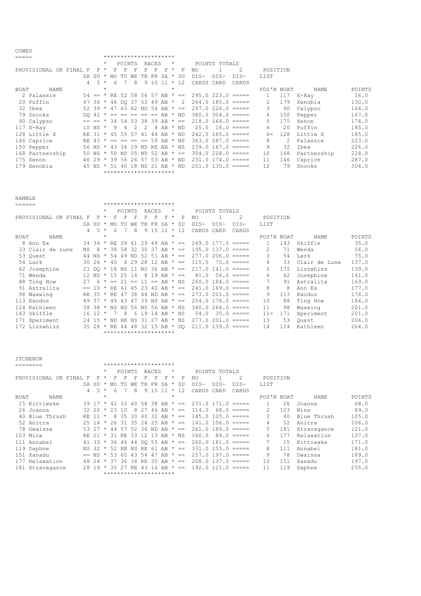|      |                        |                |                |         |    |                  |               |                                       |          | ********************* |         |              |            |               |                        |               |     |             |        |
|------|------------------------|----------------|----------------|---------|----|------------------|---------------|---------------------------------------|----------|-----------------------|---------|--------------|------------|---------------|------------------------|---------------|-----|-------------|--------|
|      |                        |                |                | $\star$ |    | POINTS           |               |                                       | RACES    |                       | $\star$ |              |            | POINTS TOTALS |                        |               |     |             |        |
|      | PROVISIONAL OR FINAL F |                | -F.            | $\star$ | F  | F                | F             | F                                     | F        | F                     | $\star$ | F            | NO.        |               | 2                      | POSITION      |     |             |        |
|      |                        |                | $SA$ $SIJ$ $*$ |         |    | MO TU            | WЕ            |                                       | TH FR SA |                       | $\star$ | SU           | DIS-       | DIS-          | DIS-                   | LIST          |     |             |        |
|      |                        | $\overline{4}$ |                | $5 *$   | 6  |                  | 8             |                                       | 9 1 0    | 11                    |         | $*12$        | CARDS CARD |               | CARDS                  |               |     |             |        |
| BOAT | NAME                   |                |                | $\star$ |    |                  |               |                                       |          |                       | *       |              |            |               |                        | POS'N BOAT    |     | NAME        | POINTS |
|      | 2 Palassie             |                |                |         |    |                  |               | $54 == * RE 52 58 56 57 AB * ==$      |          |                       |         |              |            |               | $295.0223.0 == ==$     |               | 117 | X-Ray       | 16.0   |
|      | 20 Puffin              |                |                |         |    |                  |               | 47 36 * 46 DO 37 53 49 AB *           |          |                       |         | 2            |            |               | $264.0$ 185.0 $====$   | $\mathcal{L}$ | 179 | Xenobia     | 130.0  |
|      | 32 Ibex                |                | $52, 39 *$     |         |    |                  |               | 47 63 62 ND 54 AB                     |          |                       |         | $\star$ $==$ |            |               | $297.0226.0 == ==$     | 3             | 90  | Calypso     | 164.0  |
|      | 79 Snooks              |                | DO 42          |         |    |                  |               | $* == == == == \text{AB} * \text{ND}$ |          |                       |         |              |            |               | $380.0$ $304.0$ $====$ | 4             | 150 | Pepper      | 167.0  |
|      | 90 Calypso             |                | $== == *$      |         |    |                  |               | 34 54 53 38 39 AB                     |          |                       |         | $\star$ ==   |            |               | $218.0$ 164.0 =====    | 5.            | 175 | Xenon       | 174.0  |
|      | 117 X-Ray              |                | 10 NS $*$      |         | 9  | 4                | $\mathcal{P}$ | $\mathcal{P}$                         | 8        | AB                    |         | * ND         | 25.0       |               | $16.0$ =====           | 6             | 2.0 | Puffin      | 185.0  |
|      | 128 Little X           |                |                |         |    | RE 31 * 45 55 57 |               | 41                                    | 44       | AB                    |         | $\star$ ND   |            |               | $242.0$ 185.0 $====$   | $6 =$         | 128 | Little X    | 185.0  |
|      | 146 Caprice            |                | RE 43          |         |    |                  |               | $* == == == 59 AB * NS$               |          |                       |         |              |            |               | $363.0287.0 == ==$     | 8             | 2.  | Palassie    | 223.0  |
|      | 150 Pepper             |                | 56 NS *        |         |    |                  |               | 43 34 19 ND RE AB * NS                |          |                       |         |              |            |               | $239.0$ 167.0 $====$   | 9             | 32  | Ibex        | 226.0  |
|      | 168 Partnership        |                | 50 NS $\star$  |         |    |                  |               | 50 NS 55 ND 52 AB                     |          |                       |         | $\star$ ==   |            |               | $304.0$ 228.0 $====$   | 10            | 168 | Partnership | 228.0  |
|      | 175 Xenon              |                | $4629*$        |         |    |                  |               | 39 56 26 57 53 AB                     |          |                       |         | * ND         |            |               | $231.0$ 174.0 $====$   | 11            | 146 | Caprice     | 287.0  |
|      | 179 Xenobia            |                | 45 NS $\star$  |         | 51 |                  | 40 18         | ND 21                                 |          | AB                    |         | $*$ ND       |            |               | $201.0$ 130.0 =====    | 12.           | 79  | Snooks      | 304.0  |
|      |                        |                |                |         |    |                  |               | *********************                 |          |                       |         |              |            |               |                        |               |     |             |        |

COWES

| <b>HAMBLE</b> |                        |                |                      |         |         |        |     |   |       |                                |         |                                |                                                |               |                      |                |      |               |        |
|---------------|------------------------|----------------|----------------------|---------|---------|--------|-----|---|-------|--------------------------------|---------|--------------------------------|------------------------------------------------|---------------|----------------------|----------------|------|---------------|--------|
| ======        |                        |                |                      |         |         |        |     |   |       | *********************          |         |                                |                                                |               |                      |                |      |               |        |
|               |                        |                |                      | $\star$ |         | POINTS |     |   | RACES |                                | $\star$ |                                |                                                | POINTS TOTALS |                      |                |      |               |        |
|               | PROVISIONAL OR FINAL F |                | F                    | $\star$ | F       | F      | F   | F |       | F                              | $\star$ | F                              | NO.                                            |               | 2                    | POSITION       |      |               |        |
|               |                        |                | SA SU                | $\star$ | MO.     | TU     | WF. |   |       | TH FR SA *                     |         | SU                             | $DIS-$                                         | $DIS-$        | DIS-                 | LIST           |      |               |        |
|               |                        | $\overline{4}$ | -5                   | $\star$ | 6       |        | 8   |   | 9 10  | 11                             |         | $*12$                          | CARDS CARD                                     |               | CARDS                |                |      |               |        |
| <b>BOAT</b>   | NAME                   |                |                      | $\star$ |         |        |     |   |       |                                | $\star$ |                                |                                                |               |                      | POS'N BOAT     |      | NAME          | POINTS |
|               | 8 Ann Ex               |                |                      |         |         |        |     |   |       | 34 34 * RE 39 61 29 48 AB * == |         |                                |                                                |               | $249.0$ 177.0 $====$ | 1              | 143  | Skiffle       | 35.0   |
|               | 33 Clair de Lune       | NS             | -8                   |         |         |        |     |   |       | $*$ 38 58 32 30 37 AB $* ==$   |         |                                |                                                |               | $195.0$ 137.0 $====$ | $\mathcal{L}$  | 71   | Wenda         | 56.0   |
|               | 53 Ouest               |                | 44 NS                | $\star$ |         |        |     |   |       |                                |         |                                | 54 49 ND 52 51 AB $\star$ == 277.0 206.0 ===== |               |                      | 3              | 54   | Lark          | 75.0   |
|               | 54 Lark                |                | 30 26                | $\star$ | 40      |        |     |   |       | 6 29 28 12 AB $* ==$           |         |                                | 115.0                                          |               | $75.0$ =====         | $\overline{4}$ | 33   | Clair de Lune | 137.0  |
|               | 62 Josephine           |                |                      |         |         |        |     |   |       |                                |         | 21 DO * 18 NS 11 NS 36 AB * == |                                                |               | $217.0$ 141.0 $====$ | 5.             | 172. | Lizzwhizz     | 139.0  |
|               | 71 Wenda               |                | $12$ NS $*$ 15 25 14 |         |         |        |     | 8 |       | $19$ AB $* ==$                 |         |                                | 81.0                                           |               | $56.0$ =====         | 6              | 62   | Josephine     | 141.0  |
|               | 88 Ting How            | 27             |                      | $6 *$   |         |        |     |   |       | $== 21 == 11 == AB * NS$       |         |                                |                                                |               | $260.0$ 184.0 $====$ | 7              | 91   | Astralita     | 169.0  |
|               | 91 Astralita           |                | $= 10$               |         |         |        |     |   |       |                                |         | * RE 61 45 23 40 AB * ==       |                                                |               | $241.0$ 169.0 $====$ | 8              | 8    | Ann Ex        | 177.0  |
|               | 98 Waxwing             |                | $RF. 35 * RF$        |         |         |        |     |   |       |                                |         | 47 38 44 ND AB $* ==$          |                                                |               | $273.0201.0 == ==$   | 9              | 113  | Exodus        | 178.0  |
|               | 113 Exodus             |                | 49 37                | $\star$ | 49      | 43     |     |   |       |                                |         | 47 39 NS AB $* ==$             |                                                |               | $254.0$ 178.0 $====$ | 10             | 88   | Ting How      | 184.0  |
|               | 124 Kathleen           |                | 38 38                |         | * NS NS |        |     |   |       | 56 NS 56 AB * NS               |         |                                |                                                |               | $340.0264.0 == ==$   | 11             | 98   | Waxwing       | 201.0  |
|               | 143 Skiffle            |                | 16 12                | $\star$ |         | 8      |     |   |       | $61914$ AB * NS                |         |                                | 54.0                                           |               | $35.0$ =====         | $11 =$         | 171  | Xperiment     | 201.0  |
|               | 171 Xperiment          |                | 24 15                | $\star$ | ND.     | RE NS  |     |   |       | 31 27 AB * NS                  |         |                                |                                                |               | $277.0201.0 == ==$   | 13             | 53   | Ouest         | 206.0  |
|               | 172 Lizzwhizz          |                | 35 28 * RE 44        |         |         |        | 48  |   |       | 32 15 AB * DO                  |         |                                |                                                |               | $211.0$ 139.0 $====$ | 14             | 12.4 | Kathleen      | 264.0  |
|               |                        |                |                      |         |         |        |     |   |       | *********************          |         |                                |                                                |               |                      |                |      |               |        |

| <b>TTCHENOR</b> |                      |    |                    |         |     |        |     |                                |              |           |         |              |                     |               |                         |               |     |             |        |
|-----------------|----------------------|----|--------------------|---------|-----|--------|-----|--------------------------------|--------------|-----------|---------|--------------|---------------------|---------------|-------------------------|---------------|-----|-------------|--------|
|                 |                      |    |                    |         |     |        |     | *********************          |              |           |         |              |                     |               |                         |               |     |             |        |
|                 |                      |    |                    | $\star$ |     | POINTS |     |                                | RACES        |           | $\star$ |              |                     | POINTS TOTALS |                         |               |     |             |        |
|                 | PROVISIONAL OR FINAL | -F | F                  | $\star$ | F   | F      |     | F                              | F            | F         | $\star$ | F            | NO.                 |               | 2                       | POSITION      |     |             |        |
|                 |                      |    | SA SU              | $\star$ | MO. |        | WF. | TН                             | FR.          | SA        | $\star$ | SU           | $DTS-$              | $DTS-$        | $DTS-$                  | <b>LIST</b>   |     |             |        |
|                 |                      | 4  | 5                  | $\star$ | 6   |        | 8   | 9                              | 10           | -11       | $\star$ | 12           | CARDS               | CARD          | CARDS                   |               |     |             |        |
| <b>BOAT</b>     | NAME                 |    |                    | $\star$ |     |        |     |                                |              |           | $\star$ |              |                     |               |                         | POS'N BOAT    |     | <b>NAME</b> | POINTS |
|                 | 15 Kittiwake         |    |                    |         |     |        |     | 39 17 * 42 33 60 58 38 AB * == |              |           |         |              | $231.0$ 171.0 ===== |               |                         |               | 26  | Joanna      | 68.0   |
|                 | 26 Joanna            |    | 32 20              | $\star$ | 23  | 10     | 8   | 27                             | 46           | $AB * ==$ |         |              | 114.0               |               | $68.0 == ==$            | $\mathcal{L}$ | 103 | Minx        | 89.0   |
|                 | 40 Blue Thrush       |    | RF 11 *            |         |     | 8 35   | 30. | 40                             | 32 AB $* ==$ |           |         |              |                     |               | $145.0 105.0 == ==$     | 3             | 40  | Blue Thrush | 105.0  |
|                 | 52 Anitra            |    | $25, 14 \times 26$ |         |     |        |     | 31 35 24 25 AB $\star$ ==      |              |           |         |              |                     |               | $141.0$ 106.0 =====     | 4             | 52  | Anitra      | 106.0  |
|                 | 78 Owaissa           |    | 53 27 $\star$      |         | 44  | 57     |     | 52 36 ND AB $* ==$             |              |           |         |              |                     |               | $261.0$ 189.0 =====     | 5.            | 181 | Xtravagance | 121.0  |
| 103 Minx        |                      |    | RE 21              | $\star$ |     |        |     | 31 RE 33 12 13 AB * NS         |              |           |         |              | 160.0               |               | $89.0$ =====            | 6             | 177 | Relaxation  | 137.0  |
|                 | 111 Annabel          |    |                    |         |     |        |     | 41 33 * 36 46 44 DO 55 AB * == |              |           |         |              |                     |               | $260.0$ 181.0 $====$    |               | 1.5 | Kittiwake   | 171.0  |
| 119 Daphne      |                      |    | NS 32              | $\star$ |     |        |     | 52 RE NS RE 61 AB $* ==$       |              |           |         |              |                     |               | $331.0$ $255.0$ =====   | 8             | 111 | Annabel     | 181.0  |
| 151 Xanadu      |                      |    | $==$ NS            | $\star$ | 53  | 60     | 43  | 54 47                          |              | $AB * ==$ |         |              |                     |               | $257.0$ 197.0 $====$    | 9             | 78  | Owaissa     | 189.0  |
|                 | 177 Relaxation       |    | 48 24              | $\star$ | 37  | 36     | 34  | RE.                            | -30          | AB        |         | $\star$ $=$  |                     |               | $208.0$ 137.0 $====$    | 10            | 151 | Xanadu      | 197.0  |
|                 | 181 Xtravagance      |    | 28 19              |         | 35  | 27     | RE. | 43.                            | -16          | AB        |         | $\star$ $==$ |                     |               | $192.0$ $121.0$ $== ==$ | 11            | 119 | Daphne      | 255.0  |
|                 |                      |    |                    |         |     |        |     | *********************          |              |           |         |              |                     |               |                         |               |     |             |        |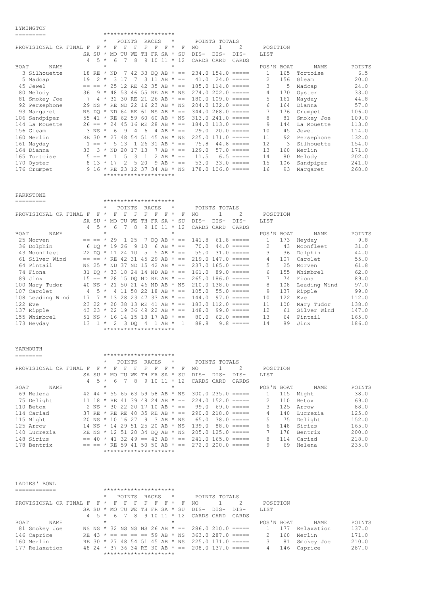# LYMINGTON

|             | ---------              |                |                    |         |                   |               |                |                |       | *********************            |            |             |                     |               |                               |               |     |            |        |
|-------------|------------------------|----------------|--------------------|---------|-------------------|---------------|----------------|----------------|-------|----------------------------------|------------|-------------|---------------------|---------------|-------------------------------|---------------|-----|------------|--------|
|             |                        |                |                    | $\star$ |                   | POINTS        |                |                | RACES |                                  | $^{\star}$ |             |                     | POINTS TOTALS |                               |               |     |            |        |
|             | PROVISIONAL OR FINAL F |                | F                  | $\star$ | F                 | F             | F              | F              | F     | F                                | $^\star$   | F           | NO.                 |               | $\mathcal{L}$                 | POSITION      |     |            |        |
|             |                        |                | SA SU              | $\star$ | MO TU             |               | WF.            | TH             |       | FR SA *                          |            | SU          | DIS-                | $DIS-$        | DIS-                          | LIST          |     |            |        |
|             |                        | $\overline{4}$ |                    | $5 *$   | 6                 | 7             | 8              |                | 9 10  | $11 * 12$                        |            |             | CARDS CARD          |               | CARDS                         |               |     |            |        |
| <b>BOAT</b> | NAME                   |                |                    | $\star$ |                   |               |                |                |       |                                  | $\star$    |             |                     |               |                               | POS'N BOAT    |     | NAME.      | POINTS |
|             | 3 Silhouette           |                |                    |         |                   |               |                |                |       | 18 RE * ND 7 42 33 DQ AB * ==    |            |             |                     |               | $234.0$ 154.0 $====$          | $\mathbf{1}$  | 165 | Tortoise   | 6.5    |
|             | 5 Madcap               | 19             | 2                  | $\star$ |                   | 3 1 7         | 7              |                |       | 3 11 AB $* ==$                   |            |             |                     |               | $41.0 \quad 24.0 \quad == ==$ | $\mathcal{L}$ | 156 | Gleam      | 20.0   |
|             | 45 Jewel               |                | $== == *$          |         | 25                | 12 RE         |                |                |       | 42 35 AB $* ==$                  |            |             |                     |               | $185.0$ $114.0$ $==$          | 3             | 5   | Madcap     | 24.0   |
|             | 80 Melody              | 36             |                    | $9 *$   |                   |               |                |                |       | 48 53 46 55 RE AB * NS           |            |             |                     |               | $274.0202.0 == ==$            | 4             | 170 | Oyster     | 33.0   |
|             | 81 Smokey Joe          | 7              |                    |         |                   |               |                |                |       | $4 * 32 30 RE 21 26 AB * ==$     |            |             | $180.0 109.0 == ==$ |               |                               | 5             | 161 | Mayday     | 44.8   |
|             | 92 Persephone          |                |                    |         |                   |               |                |                |       | 29 NS * RE ND 22 16 23 AB * NS   |            |             |                     |               | $204.0$ 132.0 $====$          | 6             | 164 | Dianna     | 57.0   |
|             | 93 Margaret            |                |                    |         |                   |               |                |                |       | NS DO * ND 64 RE 61 NS AB * ==   |            |             |                     |               | $344.0268.0 == ==$            | 7             | 176 | Crumpet    | 106.0  |
|             | 106 Sandpiper          |                |                    |         |                   |               |                |                |       | 55 41 * RE 62 59 60 60 AB * NS   |            |             |                     |               | $313.0241.0 == ==$            | 8             | 81  | Smokey Joe | 109.0  |
|             | 144 La Mouette         |                |                    |         |                   |               |                |                |       | $26 == * 24 45 16 RE 28 AB * ==$ |            |             |                     |               | $184.0$ $113.0$ $==$          | 9             | 144 | La Mouette | 113.0  |
|             | 156 Gleam              |                | $3$ NS $*$         |         | - 6               | 9             | $\overline{4}$ | 6              |       | 4 AB $* ==$                      |            |             | 29.0                |               | $20.0$ =====                  | 10            | 45  | Jewel      | 114.0  |
|             | 160 Merlin             |                | RE 30              | $\star$ | 2.7               |               |                |                |       | 48 54 51 45 AB * NS              |            |             |                     |               | $225.0$ 171.0 $====$          | 11            | 92  | Persephone | 132.0  |
|             | 161 Mayday             | 1.             | $=$ $*$            |         |                   | 5 1 3         |                |                |       | $1 26 31 AB * ==$                |            |             | 75.8                |               | $44.8$ =====                  | 12            | 3   | Silhouette | 154.0  |
|             | 164 Dianna             | 33             |                    |         | $3 * ND 20 17 13$ |               |                |                |       | 7 AB $* ==$                      |            |             | 129.0               |               | $57.0$ =====                  | 13            | 160 | Merlin     | 171.0  |
|             | 165 Tortoise           |                | $5 == *$           |         |                   | 5             | २              | $\overline{1}$ |       | 2 AB $* ==$                      |            |             | 11.5                |               | $6.5$ =====                   | 14            | 80  | Melody     | 202.0  |
|             | 170 Oyster             |                | $8 \t13 \times 17$ |         |                   | $\mathcal{L}$ |                | 5 20           |       |                                  |            | 9 AB $* ==$ | 53.0                |               | $33.0$ =====                  | 15            | 106 | Sandpiper  | 241.0  |
|             | 176 Crumpet            |                | $9.16 * RR$        |         |                   | 23            | 12             | 37             |       | 34 AB * NS                       |            |             |                     |               | $178.0$ $106.0$ =====         | 16            | 93  | Margaret   | 268.0  |
|             |                        |                |                    |         |                   |               |                |                |       | *********************            |            |             |                     |               |                               |               |     |            |        |

PARKSTONE

| L'UVO I OND                               |                   |                                               |                                                                                  |        |
|-------------------------------------------|-------------------|-----------------------------------------------|----------------------------------------------------------------------------------|--------|
| ----------                                |                   | *********************                         |                                                                                  |        |
|                                           | $\star$           | POINTS<br>RACES<br>$\star$                    | POINTS TOTALS                                                                    |        |
| PROVISIONAL OR FINAL F<br>$\mathbf{F}$    | F<br>F<br>$\star$ | F<br>F<br>F<br>F<br>$\star$                   | $\mathcal{L}$<br>NO.<br>F<br>POSITION                                            |        |
|                                           |                   | SA SU * MO TU WE TH FR SA * SU                | DIS-<br>DIS-<br>LIST<br>DTS-                                                     |        |
| $\overline{4}$                            | $5 * 6$           | -8<br>$9\ 10\ 11 \ * \ 12$<br>$7\overline{ }$ | CARDS CARD<br>CARDS                                                              |        |
| BOAT<br>NAME                              | $\star$           | $\star$                                       | POS'N BOAT<br>NAME                                                               | POINTS |
| 25 Morven                                 |                   |                                               | $== == * 29 1 25 7 DO AB * == 141.8 61.8 == ==$<br>173<br>$\mathbf{1}$<br>Heyday | 9.8    |
| 36 Dolphin                                | 6 DO * 19 26 9 10 | 6 AB $* ==$                                   | 70.0<br>$\mathcal{L}$<br>$44.0$ =====<br>43<br>Moonfleet                         | 31.0   |
| 43 Moonfleet                              |                   | 22 DO * 11 24 10 5 5 AB * ==                  | 3<br>$55.0$ $31.0$ $==$ $==$<br>36<br>Dolphin                                    | 44.0   |
| 61 Silver Wind                            |                   | $== == * RE 42 31 45 29 AB * ==$              | $219.0$ 147.0 =====<br>$\overline{4}$<br>107<br>Carolet                          | 55.0   |
| 64 Pintail                                |                   |                                               | 5<br>NS 25 $*$ ND 37 ND 15 42 AB $* == 237.0$ 165.0 =====<br>25<br>Morven        | 61.8   |
| 74 Fiona                                  |                   | 31 DO * 33 18 24 14 ND AB * ==                | $161.0$ 89.0 =====<br>6<br>155<br>Whimbrel                                       | 62.0   |
| 89 Jinx                                   |                   |                                               | 7<br>$15 == * 28$ 15 DO ND RE AB $* == 265.0$ 186.0 =====<br>Fiona<br>74         | 89.0   |
| 100 Mary Tudor                            |                   | 40 NS * 21 50 21 46 ND AB * NS                | 8<br>$210.0$ 138.0 =====<br>108<br>Leading Wind                                  | 97.0   |
| 107 Carolet<br>$\overline{4}$             | $5 *$             | 4 11 50 22 18 AB $* ==$                       | 105.0<br>9<br>137<br>$55.0$ =====<br>Ripple                                      | 99.0   |
| 108 Leading Wind                          |                   | $17 \t 7 \t \t 13$ 28 23 47 33 AB $\star =$   | 144.0<br>$97.0 == ==$<br>122<br>10<br>Eve                                        | 112.0  |
| 122 Eve                                   |                   | 23 22 * 20 38 13 RE 41 AB * ==                | $183.0$ $112.0$ =====<br>11<br>100<br>Mary Tudor                                 | 138.0  |
| 137 Ripple                                |                   | 43 23 * 22 19 36 49 22 AB * ==                | 148.0<br>$99.0$ =====<br>12<br>Silver Wind<br>61                                 | 147.0  |
| 155 Whimbrel<br>$51$ NS $*$               |                   | 16 14 15 18 17 AB $* ==$                      | 13<br>80.0<br>$62.0$ =====<br>Pintail<br>64                                      | 165.0  |
| 173 Heyday<br>$13 \quad 1 \quad ^{\star}$ |                   | 2 3 DO 4 1 AB * 1                             | 88.8<br>14<br>Jinx<br>$9.8 == ==$<br>89                                          | 186.0  |
|                                           |                   | *********************                         |                                                                                  |        |

| YARMOUTH               |   |                                |         |         |        |          |     |                       |           |         |                          |                      |               |                      |             |            |          |        |
|------------------------|---|--------------------------------|---------|---------|--------|----------|-----|-----------------------|-----------|---------|--------------------------|----------------------|---------------|----------------------|-------------|------------|----------|--------|
|                        |   |                                |         |         |        |          |     | ********************* |           |         |                          |                      |               |                      |             |            |          |        |
|                        |   |                                | $\star$ |         | POINTS |          |     | RACES                 |           | $\star$ |                          |                      | POINTS TOTALS |                      |             |            |          |        |
| PROVISIONAL OR FINAL F |   | F                              | $\star$ | F       | F      | F        | F   | F                     | F         | $\star$ | F                        | NO.                  |               |                      |             | POSITION   |          |        |
|                        |   | SA SU                          | $\star$ | MO.     | TU     | WF.      | TН  | FR SA                 |           | $\star$ | SU                       | $DTS-$               | $DTS-$        | DTS-                 | <b>LIST</b> |            |          |        |
|                        | 4 | -5                             | $\star$ | 6       |        | 8        | 9   | 10                    |           | $\star$ | 12                       | CARDS CARD           |               | CARDS                |             |            |          |        |
| <b>BOAT</b><br>NAME    |   |                                | $\star$ |         |        |          |     |                       |           | $\star$ |                          |                      |               |                      |             | POS'N BOAT | NAME     | POINTS |
| 69 Helena              |   | 42 44 * 55 65 63 59 58 AB * NS |         |         |        |          |     |                       |           |         |                          |                      |               | $300.0235.0 == ==$   |             | 115        | Might    | 38.0   |
| 75 Delight             |   | 11 18                          |         |         |        |          |     |                       |           |         | * RE 41 39 48 24 AB * == | $224.0$ 152.0 =====  |               |                      | 2           | 110        | Betox    | 69.0   |
| 110 Betox              |   | 2 NS $\star$                   |         |         |        | 30 22 20 |     |                       |           |         | $17$ 10 AB $* ==$        | 99.0                 |               | $69.0 == ==$         | 3           | 125        | Arrow    | 88.0   |
| 114 Cariad             |   | 37 RE                          |         | * RE RE |        | 40       |     |                       |           |         | 35 RE AB $* ==$          |                      |               | $290.0218.0 == ==$   | 4           | 140        | Imcrezia | 125.0  |
| 115 Might              |   | 20 NS *                        |         | 10      | 16 27  |          | - 9 |                       | 3 AB * NS |         |                          | 65.0                 |               | $38.0 == ==$         | 5.          | 75         | Delight  | 152.0  |
| 125 Arrow              |   | $14$ NS $*$ 14                 |         |         | 29 51  |          |     | 25 20 AB * NS         |           |         |                          | 139.0                |               | $88.0 == ==$         | 6           | 148        | Sirius   | 165.0  |
| 140 Lucrezia           |   | RE NS * 12 51 28 34 DO AB * NS |         |         |        |          |     |                       |           |         |                          | $205.0$ 125.0 $====$ |               |                      |             | 178        | Bentrix  | 200.0  |
| 148 Sirius             |   | $= 40$                         | $\star$ | 41      | -32    | 49       |     | $== 43$ AB $* ==$     |           |         |                          |                      |               | $241.0$ 165.0 $====$ | 8           | 114        | Cariad   | 218.0  |
| 178 Bentrix            |   |                                |         | RE.     | 59     | 41       |     | 50                    |           |         | $AB * ==$                | 272.0                |               | $200.0 = == ==$      | 9           | 69         | Helena   | 235.0  |
|                        |   |                                |         |         |        |          |     | ********************* |           |         |                          |                      |               |                      |             |            |          |        |

| LADIES' BOWL           |  |         |        |  |                                |         |                         |                                                              |               |       |            |     |            |        |
|------------------------|--|---------|--------|--|--------------------------------|---------|-------------------------|--------------------------------------------------------------|---------------|-------|------------|-----|------------|--------|
|                        |  |         |        |  | *********************          |         |                         |                                                              |               |       |            |     |            |        |
|                        |  |         | POINTS |  | RACES                          | $\star$ |                         |                                                              | POINTS TOTALS |       |            |     |            |        |
| PROVISIONAL OR FINAL F |  |         |        |  |                                |         | $F^*$ F F F F F F $F$ F | - NO                                                         |               |       | POSITION   |     |            |        |
|                        |  |         |        |  | SA SU * MO TU WE TH FR SA * SU |         |                         | DIS-DIS-                                                     |               | DTS-  | LIST       |     |            |        |
|                        |  |         |        |  |                                |         |                         | 4 5 * 6 7 8 9 10 11 * 12 CARDS CARD                          |               | CARDS |            |     |            |        |
| <b>BOAT</b><br>NAME    |  | $\star$ |        |  |                                | $\star$ |                         |                                                              |               |       | POS'N BOAT |     | NAMF.      | POINTS |
| 81 Smokey Joe          |  |         |        |  |                                |         |                         | NS NS $\star$ 32 NS NS NS 26 AB $\star$ == 286.0 210.0 ===== |               |       |            | 177 | Relaxation | 137.0  |
| 146 Caprice            |  |         |        |  |                                |         |                         | RE 43 $\star$ == == == == 59 AB $\star$ NS 363.0 287.0 ===== |               |       |            | 160 | Merlin     | 171.0  |
| 160 Merlin             |  |         |        |  |                                |         |                         | RE 30 $\star$ 27 48 54 51 45 AB $\star$ NS 225.0 171.0 ===== |               |       |            | 81  | Smokey Joe | 210.0  |
| 177 Relaxation         |  |         |        |  |                                |         |                         | 48 24 $\star$ 37 36 34 RE 30 AB $\star$ == 208.0 137.0 ===== |               |       |            | 146 | Caprice    | 287.0  |
|                        |  |         |        |  | *********************          |         |                         |                                                              |               |       |            |     |            |        |